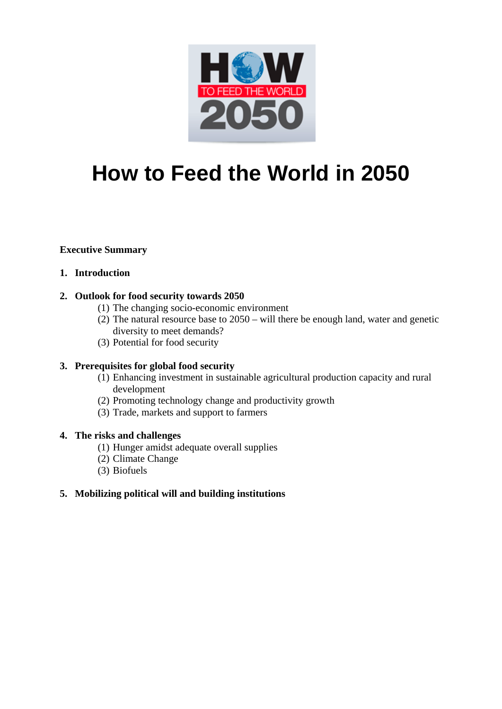

# **How to Feed the World in 2050**

## **Executive Summary**

## **1. Introduction**

## **2. Outlook for food security towards 2050**

- (1) The changing socio-economic environment
- (2) The natural resource base to 2050 will there be enough land, water and genetic diversity to meet demands?
- (3) Potential for food security

## **3. Prerequisites for global food security**

- (1) Enhancing investment in sustainable agricultural production capacity and rural development
- (2) Promoting technology change and productivity growth
- (3) Trade, markets and support to farmers

## **4. The risks and challenges**

- (1) Hunger amidst adequate overall supplies
- (2) Climate Change
- (3) Biofuels

## **5. Mobilizing political will and building institutions**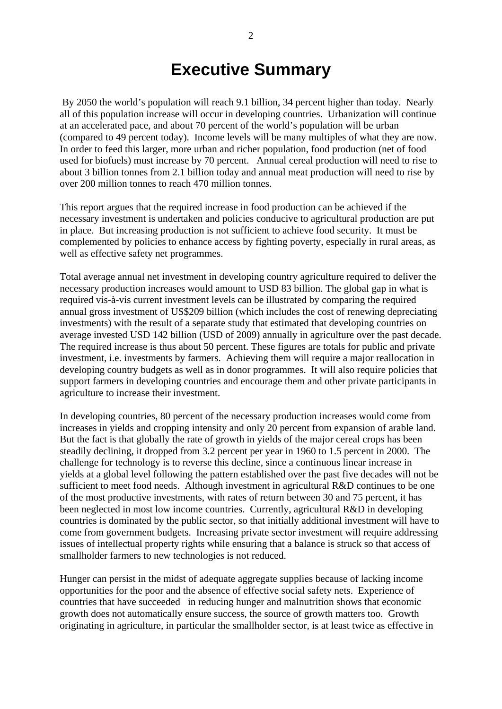## **Executive Summary**

 By 2050 the world's population will reach 9.1 billion, 34 percent higher than today. Nearly all of this population increase will occur in developing countries. Urbanization will continue at an accelerated pace, and about 70 percent of the world's population will be urban (compared to 49 percent today). Income levels will be many multiples of what they are now. In order to feed this larger, more urban and richer population, food production (net of food used for biofuels) must increase by 70 percent. Annual cereal production will need to rise to about 3 billion tonnes from 2.1 billion today and annual meat production will need to rise by over 200 million tonnes to reach 470 million tonnes.

This report argues that the required increase in food production can be achieved if the necessary investment is undertaken and policies conducive to agricultural production are put in place. But increasing production is not sufficient to achieve food security. It must be complemented by policies to enhance access by fighting poverty, especially in rural areas, as well as effective safety net programmes.

Total average annual net investment in developing country agriculture required to deliver the necessary production increases would amount to USD 83 billion. The global gap in what is required vis-à-vis current investment levels can be illustrated by comparing the required annual gross investment of US\$209 billion (which includes the cost of renewing depreciating investments) with the result of a separate study that estimated that developing countries on average invested USD 142 billion (USD of 2009) annually in agriculture over the past decade. The required increase is thus about 50 percent. These figures are totals for public and private investment, i.e. investments by farmers. Achieving them will require a major reallocation in developing country budgets as well as in donor programmes. It will also require policies that support farmers in developing countries and encourage them and other private participants in agriculture to increase their investment.

In developing countries, 80 percent of the necessary production increases would come from increases in yields and cropping intensity and only 20 percent from expansion of arable land. But the fact is that globally the rate of growth in yields of the major cereal crops has been steadily declining, it dropped from 3.2 percent per year in 1960 to 1.5 percent in 2000. The challenge for technology is to reverse this decline, since a continuous linear increase in yields at a global level following the pattern established over the past five decades will not be sufficient to meet food needs. Although investment in agricultural R&D continues to be one of the most productive investments, with rates of return between 30 and 75 percent, it has been neglected in most low income countries. Currently, agricultural R&D in developing countries is dominated by the public sector, so that initially additional investment will have to come from government budgets. Increasing private sector investment will require addressing issues of intellectual property rights while ensuring that a balance is struck so that access of smallholder farmers to new technologies is not reduced.

Hunger can persist in the midst of adequate aggregate supplies because of lacking income opportunities for the poor and the absence of effective social safety nets. Experience of countries that have succeeded in reducing hunger and malnutrition shows that economic growth does not automatically ensure success, the source of growth matters too. Growth originating in agriculture, in particular the smallholder sector, is at least twice as effective in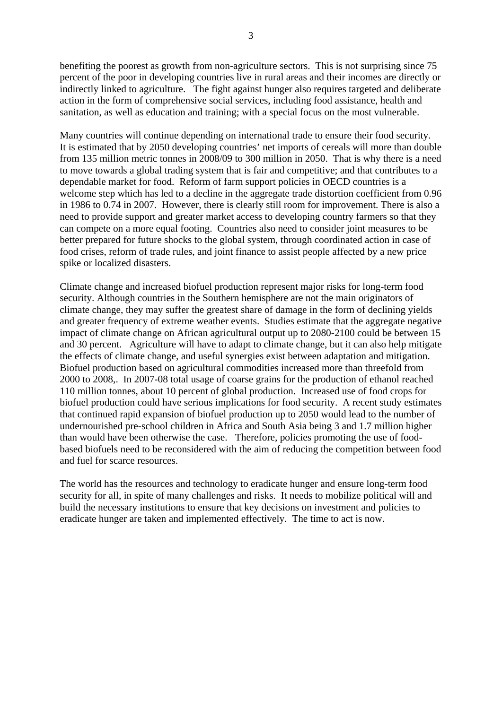benefiting the poorest as growth from non-agriculture sectors. This is not surprising since 75 percent of the poor in developing countries live in rural areas and their incomes are directly or indirectly linked to agriculture. The fight against hunger also requires targeted and deliberate action in the form of comprehensive social services, including food assistance, health and sanitation, as well as education and training; with a special focus on the most vulnerable.

Many countries will continue depending on international trade to ensure their food security. It is estimated that by 2050 developing countries' net imports of cereals will more than double from 135 million metric tonnes in 2008/09 to 300 million in 2050. That is why there is a need to move towards a global trading system that is fair and competitive; and that contributes to a dependable market for food. Reform of farm support policies in OECD countries is a welcome step which has led to a decline in the aggregate trade distortion coefficient from 0.96 in 1986 to 0.74 in 2007. However, there is clearly still room for improvement. There is also a need to provide support and greater market access to developing country farmers so that they can compete on a more equal footing. Countries also need to consider joint measures to be better prepared for future shocks to the global system, through coordinated action in case of food crises, reform of trade rules, and joint finance to assist people affected by a new price spike or localized disasters.

Climate change and increased biofuel production represent major risks for long-term food security. Although countries in the Southern hemisphere are not the main originators of climate change, they may suffer the greatest share of damage in the form of declining yields and greater frequency of extreme weather events. Studies estimate that the aggregate negative impact of climate change on African agricultural output up to 2080-2100 could be between 15 and 30 percent. Agriculture will have to adapt to climate change, but it can also help mitigate the effects of climate change, and useful synergies exist between adaptation and mitigation. Biofuel production based on agricultural commodities increased more than threefold from 2000 to 2008,. In 2007-08 total usage of coarse grains for the production of ethanol reached 110 million tonnes, about 10 percent of global production. Increased use of food crops for biofuel production could have serious implications for food security. A recent study estimates that continued rapid expansion of biofuel production up to 2050 would lead to the number of undernourished pre-school children in Africa and South Asia being 3 and 1.7 million higher than would have been otherwise the case. Therefore, policies promoting the use of foodbased biofuels need to be reconsidered with the aim of reducing the competition between food and fuel for scarce resources.

The world has the resources and technology to eradicate hunger and ensure long-term food security for all, in spite of many challenges and risks. It needs to mobilize political will and build the necessary institutions to ensure that key decisions on investment and policies to eradicate hunger are taken and implemented effectively. The time to act is now.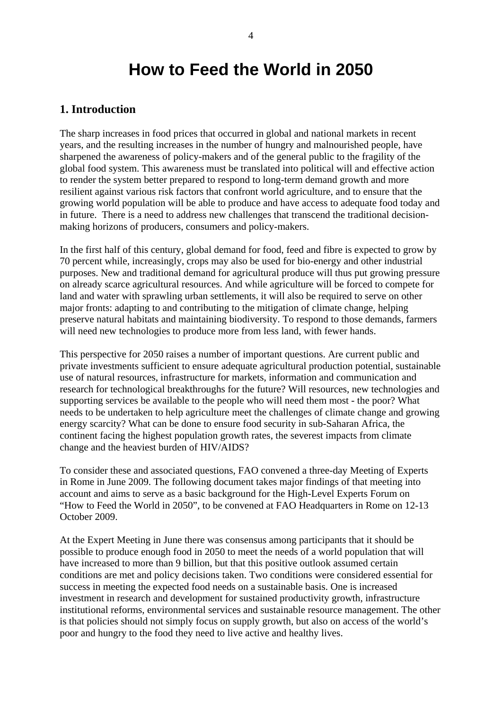## **How to Feed the World in 2050**

## **1. Introduction**

The sharp increases in food prices that occurred in global and national markets in recent years, and the resulting increases in the number of hungry and malnourished people, have sharpened the awareness of policy-makers and of the general public to the fragility of the global food system. This awareness must be translated into political will and effective action to render the system better prepared to respond to long-term demand growth and more resilient against various risk factors that confront world agriculture, and to ensure that the growing world population will be able to produce and have access to adequate food today and in future. There is a need to address new challenges that transcend the traditional decisionmaking horizons of producers, consumers and policy-makers.

In the first half of this century, global demand for food, feed and fibre is expected to grow by 70 percent while, increasingly, crops may also be used for bio-energy and other industrial purposes. New and traditional demand for agricultural produce will thus put growing pressure on already scarce agricultural resources. And while agriculture will be forced to compete for land and water with sprawling urban settlements, it will also be required to serve on other major fronts: adapting to and contributing to the mitigation of climate change, helping preserve natural habitats and maintaining biodiversity. To respond to those demands, farmers will need new technologies to produce more from less land, with fewer hands.

This perspective for 2050 raises a number of important questions. Are current public and private investments sufficient to ensure adequate agricultural production potential, sustainable use of natural resources, infrastructure for markets, information and communication and research for technological breakthroughs for the future? Will resources, new technologies and supporting services be available to the people who will need them most - the poor? What needs to be undertaken to help agriculture meet the challenges of climate change and growing energy scarcity? What can be done to ensure food security in sub-Saharan Africa, the continent facing the highest population growth rates, the severest impacts from climate change and the heaviest burden of HIV/AIDS?

To consider these and associated questions, FAO convened a three-day Meeting of Experts in Rome in June 2009. The following document takes major findings of that meeting into account and aims to serve as a basic background for the High-Level Experts Forum on "How to Feed the World in 2050", to be convened at FAO Headquarters in Rome on 12-13 October 2009.

At the Expert Meeting in June there was consensus among participants that it should be possible to produce enough food in 2050 to meet the needs of a world population that will have increased to more than 9 billion, but that this positive outlook assumed certain conditions are met and policy decisions taken. Two conditions were considered essential for success in meeting the expected food needs on a sustainable basis. One is increased investment in research and development for sustained productivity growth, infrastructure institutional reforms, environmental services and sustainable resource management. The other is that policies should not simply focus on supply growth, but also on access of the world's poor and hungry to the food they need to live active and healthy lives.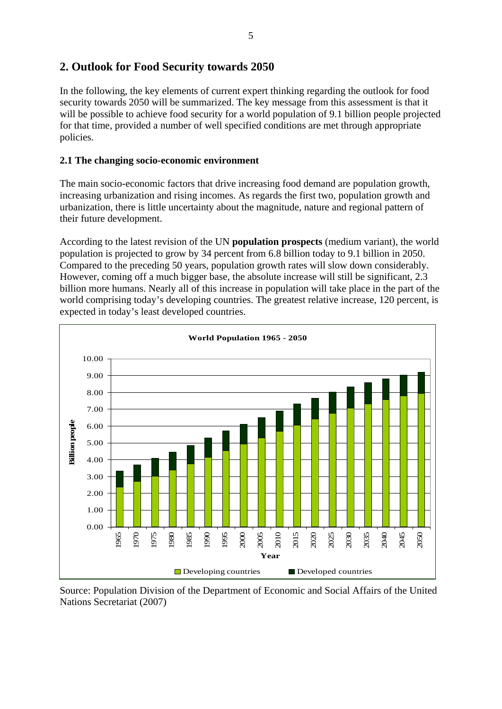## **2. Outlook for Food Security towards 2050**

In the following, the key elements of current expert thinking regarding the outlook for food security towards 2050 will be summarized. The key message from this assessment is that it will be possible to achieve food security for a world population of 9.1 billion people projected for that time, provided a number of well specified conditions are met through appropriate policies.

## **2.1 The changing socio-economic environment**

The main socio-economic factors that drive increasing food demand are population growth, increasing urbanization and rising incomes. As regards the first two, population growth and urbanization, there is little uncertainty about the magnitude, nature and regional pattern of their future development.

According to the latest revision of the UN **population prospects** (medium variant), the world population is projected to grow by 34 percent from 6.8 billion today to 9.1 billion in 2050. Compared to the preceding 50 years, population growth rates will slow down considerably. However, coming off a much bigger base, the absolute increase will still be significant, 2.3 billion more humans. Nearly all of this increase in population will take place in the part of the world comprising today's developing countries. The greatest relative increase, 120 percent, is expected in today's least developed countries.



Source: Population Division of the Department of Economic and Social Affairs of the United Nations Secretariat (2007)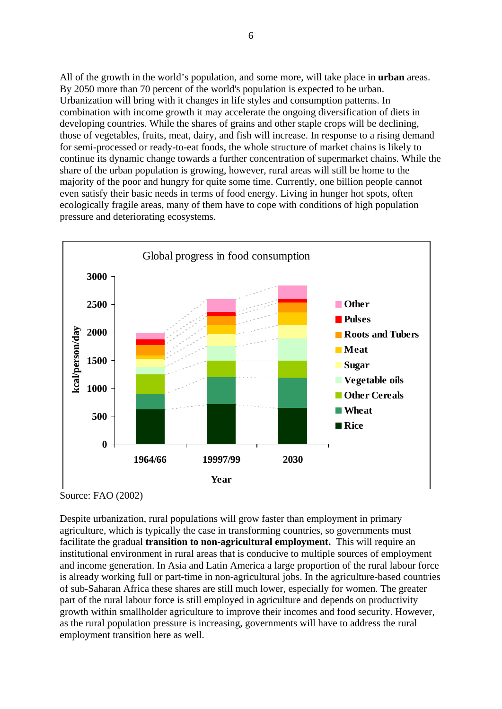All of the growth in the world's population, and some more, will take place in **urban** areas. By 2050 more than 70 percent of the world's population is expected to be urban. Urbanization will bring with it changes in life styles and consumption patterns. In combination with income growth it may accelerate the ongoing diversification of diets in developing countries. While the shares of grains and other staple crops will be declining, those of vegetables, fruits, meat, dairy, and fish will increase. In response to a rising demand for semi-processed or ready-to-eat foods, the whole structure of market chains is likely to continue its dynamic change towards a further concentration of supermarket chains. While the share of the urban population is growing, however, rural areas will still be home to the majority of the poor and hungry for quite some time. Currently, one billion people cannot even satisfy their basic needs in terms of food energy. Living in hunger hot spots, often ecologically fragile areas, many of them have to cope with conditions of high population pressure and deteriorating ecosystems.



Source: FAO (2002)

Despite urbanization, rural populations will grow faster than employment in primary agriculture, which is typically the case in transforming countries, so governments must facilitate the gradual **transition to non-agricultural employment.** This will require an institutional environment in rural areas that is conducive to multiple sources of employment and income generation. In Asia and Latin America a large proportion of the rural labour force is already working full or part-time in non-agricultural jobs. In the agriculture-based countries of sub-Saharan Africa these shares are still much lower, especially for women. The greater part of the rural labour force is still employed in agriculture and depends on productivity growth within smallholder agriculture to improve their incomes and food security. However, as the rural population pressure is increasing, governments will have to address the rural employment transition here as well.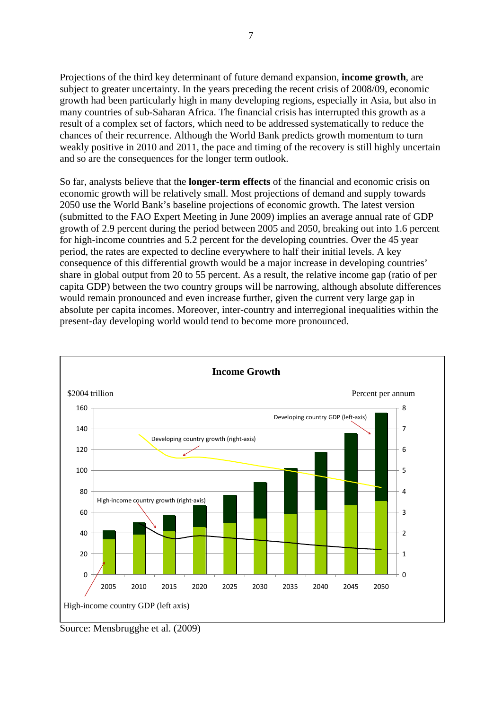Projections of the third key determinant of future demand expansion, **income growth**, are subject to greater uncertainty. In the years preceding the recent crisis of 2008/09, economic growth had been particularly high in many developing regions, especially in Asia, but also in many countries of sub-Saharan Africa. The financial crisis has interrupted this growth as a result of a complex set of factors, which need to be addressed systematically to reduce the chances of their recurrence. Although the World Bank predicts growth momentum to turn weakly positive in 2010 and 2011, the pace and timing of the recovery is still highly uncertain and so are the consequences for the longer term outlook.

So far, analysts believe that the **longer-term effects** of the financial and economic crisis on economic growth will be relatively small. Most projections of demand and supply towards 2050 use the World Bank's baseline projections of economic growth. The latest version (submitted to the FAO Expert Meeting in June 2009) implies an average annual rate of GDP growth of 2.9 percent during the period between 2005 and 2050, breaking out into 1.6 percent for high-income countries and 5.2 percent for the developing countries. Over the 45 year period, the rates are expected to decline everywhere to half their initial levels. A key consequence of this differential growth would be a major increase in developing countries' share in global output from 20 to 55 percent. As a result, the relative income gap (ratio of per capita GDP) between the two country groups will be narrowing, although absolute differences would remain pronounced and even increase further, given the current very large gap in absolute per capita incomes. Moreover, inter-country and interregional inequalities within the present-day developing world would tend to become more pronounced.



Source: Mensbrugghe et al. (2009)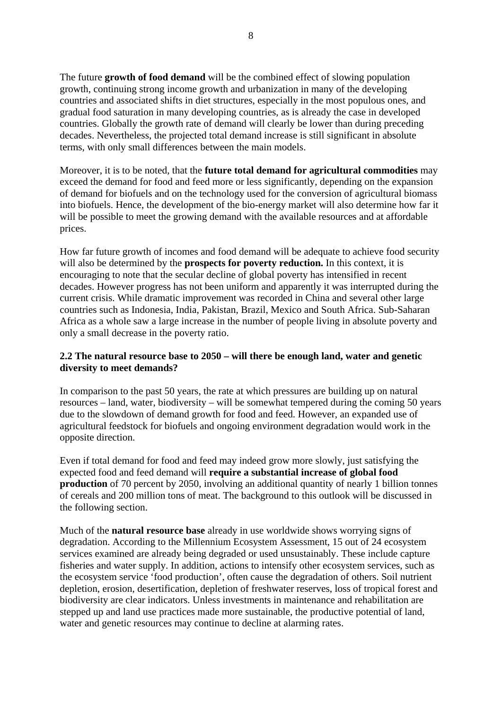The future **growth of food demand** will be the combined effect of slowing population growth, continuing strong income growth and urbanization in many of the developing countries and associated shifts in diet structures, especially in the most populous ones, and gradual food saturation in many developing countries, as is already the case in developed countries. Globally the growth rate of demand will clearly be lower than during preceding decades. Nevertheless, the projected total demand increase is still significant in absolute terms, with only small differences between the main models.

Moreover, it is to be noted, that the **future total demand for agricultural commodities** may exceed the demand for food and feed more or less significantly, depending on the expansion of demand for biofuels and on the technology used for the conversion of agricultural biomass into biofuels. Hence, the development of the bio-energy market will also determine how far it will be possible to meet the growing demand with the available resources and at affordable prices.

How far future growth of incomes and food demand will be adequate to achieve food security will also be determined by the **prospects for poverty reduction.** In this context, it is encouraging to note that the secular decline of global poverty has intensified in recent decades. However progress has not been uniform and apparently it was interrupted during the current crisis. While dramatic improvement was recorded in China and several other large countries such as Indonesia, India, Pakistan, Brazil, Mexico and South Africa. Sub-Saharan Africa as a whole saw a large increase in the number of people living in absolute poverty and only a small decrease in the poverty ratio.

## **2.2 The natural resource base to 2050 – will there be enough land, water and genetic diversity to meet demands?**

In comparison to the past 50 years, the rate at which pressures are building up on natural resources – land, water, biodiversity – will be somewhat tempered during the coming 50 years due to the slowdown of demand growth for food and feed. However, an expanded use of agricultural feedstock for biofuels and ongoing environment degradation would work in the opposite direction.

Even if total demand for food and feed may indeed grow more slowly, just satisfying the expected food and feed demand will **require a substantial increase of global food production** of 70 percent by 2050, involving an additional quantity of nearly 1 billion tonnes of cereals and 200 million tons of meat. The background to this outlook will be discussed in the following section.

Much of the **natural resource base** already in use worldwide shows worrying signs of degradation. According to the Millennium Ecosystem Assessment, 15 out of 24 ecosystem services examined are already being degraded or used unsustainably. These include capture fisheries and water supply. In addition, actions to intensify other ecosystem services, such as the ecosystem service 'food production', often cause the degradation of others. Soil nutrient depletion, erosion, desertification, depletion of freshwater reserves, loss of tropical forest and biodiversity are clear indicators. Unless investments in maintenance and rehabilitation are stepped up and land use practices made more sustainable, the productive potential of land, water and genetic resources may continue to decline at alarming rates.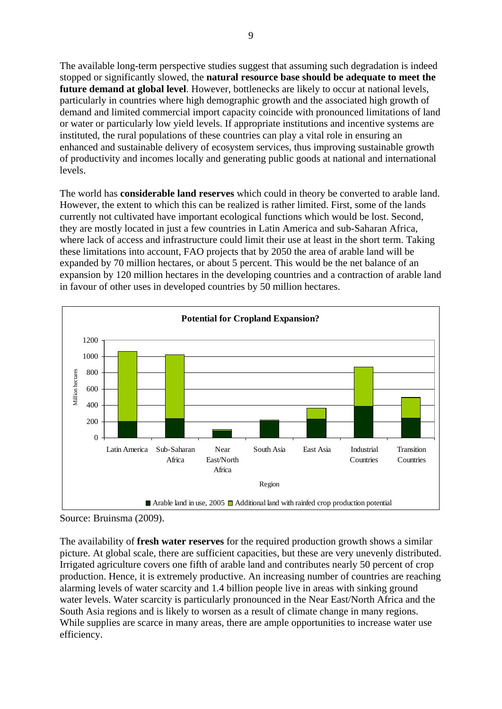The available long-term perspective studies suggest that assuming such degradation is indeed stopped or significantly slowed, the **natural resource base should be adequate to meet the future demand at global level**. However, bottlenecks are likely to occur at national levels, particularly in countries where high demographic growth and the associated high growth of demand and limited commercial import capacity coincide with pronounced limitations of land or water or particularly low yield levels. If appropriate institutions and incentive systems are instituted, the rural populations of these countries can play a vital role in ensuring an enhanced and sustainable delivery of ecosystem services, thus improving sustainable growth of productivity and incomes locally and generating public goods at national and international levels.

The world has **considerable land reserves** which could in theory be converted to arable land. However, the extent to which this can be realized is rather limited. First, some of the lands currently not cultivated have important ecological functions which would be lost. Second, they are mostly located in just a few countries in Latin America and sub-Saharan Africa, where lack of access and infrastructure could limit their use at least in the short term. Taking these limitations into account, FAO projects that by 2050 the area of arable land will be expanded by 70 million hectares, or about 5 percent. This would be the net balance of an expansion by 120 million hectares in the developing countries and a contraction of arable land in favour of other uses in developed countries by 50 million hectares.



Source: Bruinsma (2009).

The availability of **fresh water reserves** for the required production growth shows a similar picture. At global scale, there are sufficient capacities, but these are very unevenly distributed. Irrigated agriculture covers one fifth of arable land and contributes nearly 50 percent of crop production. Hence, it is extremely productive. An increasing number of countries are reaching alarming levels of water scarcity and 1.4 billion people live in areas with sinking ground water levels. Water scarcity is particularly pronounced in the Near East/North Africa and the South Asia regions and is likely to worsen as a result of climate change in many regions. While supplies are scarce in many areas, there are ample opportunities to increase water use efficiency.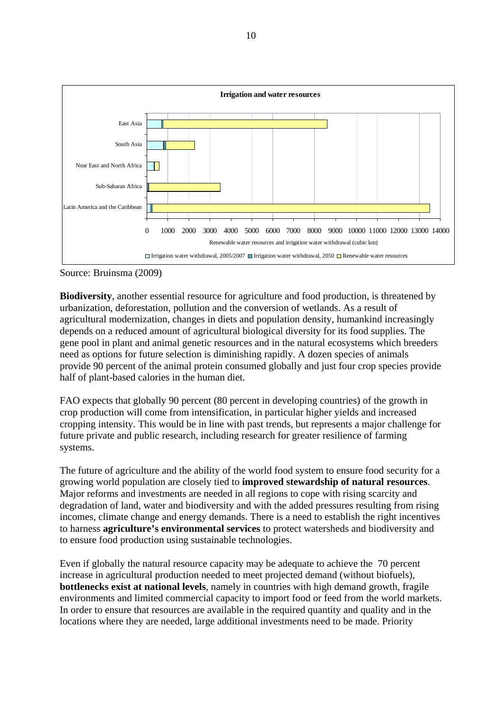

Source: Bruinsma (2009)

**Biodiversity**, another essential resource for agriculture and food production, is threatened by urbanization, deforestation, pollution and the conversion of wetlands. As a result of agricultural modernization, changes in diets and population density, humankind increasingly depends on a reduced amount of agricultural biological diversity for its food supplies. The gene pool in plant and animal genetic resources and in the natural ecosystems which breeders need as options for future selection is diminishing rapidly. A dozen species of animals provide 90 percent of the animal protein consumed globally and just four crop species provide half of plant-based calories in the human diet.

FAO expects that globally 90 percent (80 percent in developing countries) of the growth in crop production will come from intensification, in particular higher yields and increased cropping intensity. This would be in line with past trends, but represents a major challenge for future private and public research, including research for greater resilience of farming systems.

The future of agriculture and the ability of the world food system to ensure food security for a growing world population are closely tied to **improved stewardship of natural resources**. Major reforms and investments are needed in all regions to cope with rising scarcity and degradation of land, water and biodiversity and with the added pressures resulting from rising incomes, climate change and energy demands. There is a need to establish the right incentives to harness **agriculture's environmental services** to protect watersheds and biodiversity and to ensure food production using sustainable technologies.

Even if globally the natural resource capacity may be adequate to achieve the 70 percent increase in agricultural production needed to meet projected demand (without biofuels), **bottlenecks exist at national levels**, namely in countries with high demand growth, fragile environments and limited commercial capacity to import food or feed from the world markets. In order to ensure that resources are available in the required quantity and quality and in the locations where they are needed, large additional investments need to be made. Priority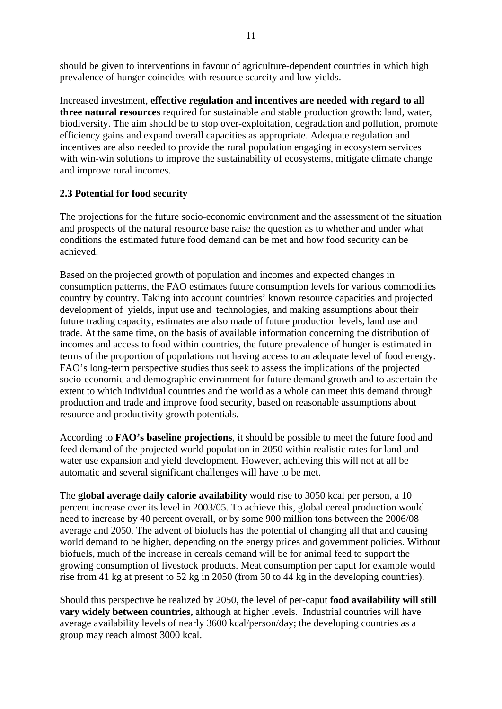should be given to interventions in favour of agriculture-dependent countries in which high prevalence of hunger coincides with resource scarcity and low yields.

Increased investment, **effective regulation and incentives are needed with regard to all three natural resources** required for sustainable and stable production growth: land, water, biodiversity. The aim should be to stop over-exploitation, degradation and pollution, promote efficiency gains and expand overall capacities as appropriate. Adequate regulation and incentives are also needed to provide the rural population engaging in ecosystem services with win-win solutions to improve the sustainability of ecosystems, mitigate climate change and improve rural incomes.

## **2.3 Potential for food security**

The projections for the future socio-economic environment and the assessment of the situation and prospects of the natural resource base raise the question as to whether and under what conditions the estimated future food demand can be met and how food security can be achieved.

Based on the projected growth of population and incomes and expected changes in consumption patterns, the FAO estimates future consumption levels for various commodities country by country. Taking into account countries' known resource capacities and projected development of yields, input use and technologies, and making assumptions about their future trading capacity, estimates are also made of future production levels, land use and trade. At the same time, on the basis of available information concerning the distribution of incomes and access to food within countries, the future prevalence of hunger is estimated in terms of the proportion of populations not having access to an adequate level of food energy. FAO's long-term perspective studies thus seek to assess the implications of the projected socio-economic and demographic environment for future demand growth and to ascertain the extent to which individual countries and the world as a whole can meet this demand through production and trade and improve food security, based on reasonable assumptions about resource and productivity growth potentials.

According to **FAO's baseline projections**, it should be possible to meet the future food and feed demand of the projected world population in 2050 within realistic rates for land and water use expansion and yield development. However, achieving this will not at all be automatic and several significant challenges will have to be met.

The **global average daily calorie availability** would rise to 3050 kcal per person, a 10 percent increase over its level in 2003/05. To achieve this, global cereal production would need to increase by 40 percent overall, or by some 900 million tons between the 2006/08 average and 2050. The advent of biofuels has the potential of changing all that and causing world demand to be higher, depending on the energy prices and government policies. Without biofuels, much of the increase in cereals demand will be for animal feed to support the growing consumption of livestock products. Meat consumption per caput for example would rise from 41 kg at present to 52 kg in 2050 (from 30 to 44 kg in the developing countries).

Should this perspective be realized by 2050, the level of per-caput **food availability will still vary widely between countries,** although at higher levels. Industrial countries will have average availability levels of nearly 3600 kcal/person/day; the developing countries as a group may reach almost 3000 kcal.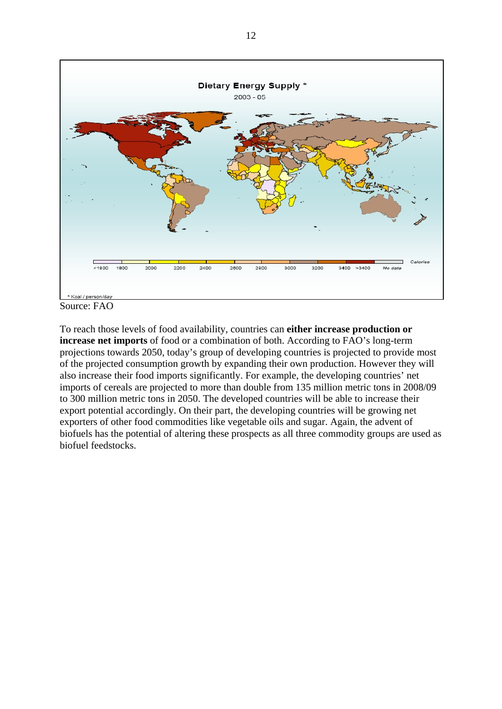

Source: FAO

To reach those levels of food availability, countries can **either increase production or increase net imports** of food or a combination of both. According to FAO's long-term projections towards 2050, today's group of developing countries is projected to provide most of the projected consumption growth by expanding their own production. However they will also increase their food imports significantly. For example, the developing countries' net imports of cereals are projected to more than double from 135 million metric tons in 2008/09 to 300 million metric tons in 2050. The developed countries will be able to increase their export potential accordingly. On their part, the developing countries will be growing net exporters of other food commodities like vegetable oils and sugar. Again, the advent of biofuels has the potential of altering these prospects as all three commodity groups are used as biofuel feedstocks.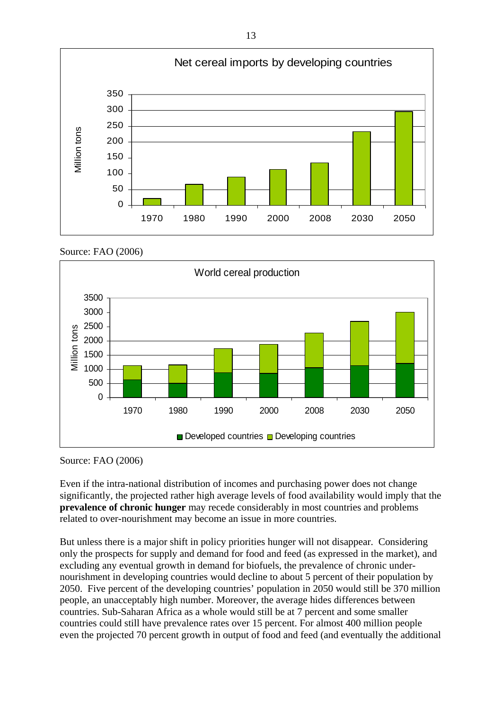





Source: FAO (2006)

Even if the intra-national distribution of incomes and purchasing power does not change significantly, the projected rather high average levels of food availability would imply that the **prevalence of chronic hunger** may recede considerably in most countries and problems related to over-nourishment may become an issue in more countries.

But unless there is a major shift in policy priorities hunger will not disappear. Considering only the prospects for supply and demand for food and feed (as expressed in the market), and excluding any eventual growth in demand for biofuels, the prevalence of chronic undernourishment in developing countries would decline to about 5 percent of their population by 2050. Five percent of the developing countries' population in 2050 would still be 370 million people, an unacceptably high number. Moreover, the average hides differences between countries. Sub-Saharan Africa as a whole would still be at 7 percent and some smaller countries could still have prevalence rates over 15 percent. For almost 400 million people even the projected 70 percent growth in output of food and feed (and eventually the additional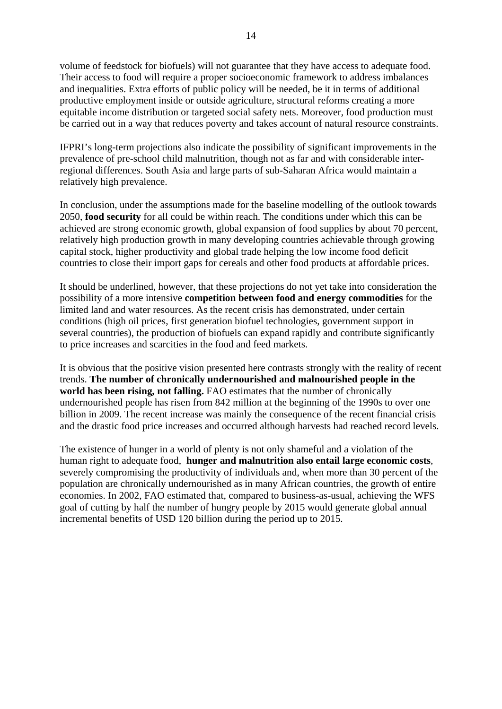volume of feedstock for biofuels) will not guarantee that they have access to adequate food. Their access to food will require a proper socioeconomic framework to address imbalances and inequalities. Extra efforts of public policy will be needed, be it in terms of additional productive employment inside or outside agriculture, structural reforms creating a more equitable income distribution or targeted social safety nets. Moreover, food production must be carried out in a way that reduces poverty and takes account of natural resource constraints.

IFPRI's long-term projections also indicate the possibility of significant improvements in the prevalence of pre-school child malnutrition, though not as far and with considerable interregional differences. South Asia and large parts of sub-Saharan Africa would maintain a relatively high prevalence.

In conclusion, under the assumptions made for the baseline modelling of the outlook towards 2050, **food security** for all could be within reach. The conditions under which this can be achieved are strong economic growth, global expansion of food supplies by about 70 percent, relatively high production growth in many developing countries achievable through growing capital stock, higher productivity and global trade helping the low income food deficit countries to close their import gaps for cereals and other food products at affordable prices.

It should be underlined, however, that these projections do not yet take into consideration the possibility of a more intensive **competition between food and energy commodities** for the limited land and water resources. As the recent crisis has demonstrated, under certain conditions (high oil prices, first generation biofuel technologies, government support in several countries), the production of biofuels can expand rapidly and contribute significantly to price increases and scarcities in the food and feed markets.

It is obvious that the positive vision presented here contrasts strongly with the reality of recent trends. **The number of chronically undernourished and malnourished people in the world has been rising, not falling.** FAO estimates that the number of chronically undernourished people has risen from 842 million at the beginning of the 1990s to over one billion in 2009. The recent increase was mainly the consequence of the recent financial crisis and the drastic food price increases and occurred although harvests had reached record levels.

The existence of hunger in a world of plenty is not only shameful and a violation of the human right to adequate food, **hunger and malnutrition also entail large economic costs**, severely compromising the productivity of individuals and, when more than 30 percent of the population are chronically undernourished as in many African countries, the growth of entire economies. In 2002, FAO estimated that, compared to business-as-usual, achieving the WFS goal of cutting by half the number of hungry people by 2015 would generate global annual incremental benefits of USD 120 billion during the period up to 2015.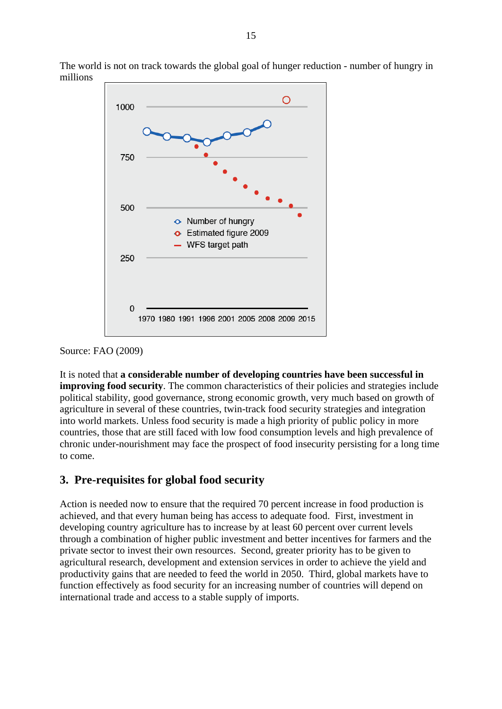The world is not on track towards the global goal of hunger reduction - number of hungry in millions



Source: FAO (2009)

It is noted that **a considerable number of developing countries have been successful in improving food security**. The common characteristics of their policies and strategies include political stability, good governance, strong economic growth, very much based on growth of agriculture in several of these countries, twin-track food security strategies and integration into world markets. Unless food security is made a high priority of public policy in more countries, those that are still faced with low food consumption levels and high prevalence of chronic under-nourishment may face the prospect of food insecurity persisting for a long time to come.

## **3. Pre-requisites for global food security**

Action is needed now to ensure that the required 70 percent increase in food production is achieved, and that every human being has access to adequate food. First, investment in developing country agriculture has to increase by at least 60 percent over current levels through a combination of higher public investment and better incentives for farmers and the private sector to invest their own resources. Second, greater priority has to be given to agricultural research, development and extension services in order to achieve the yield and productivity gains that are needed to feed the world in 2050. Third, global markets have to function effectively as food security for an increasing number of countries will depend on international trade and access to a stable supply of imports.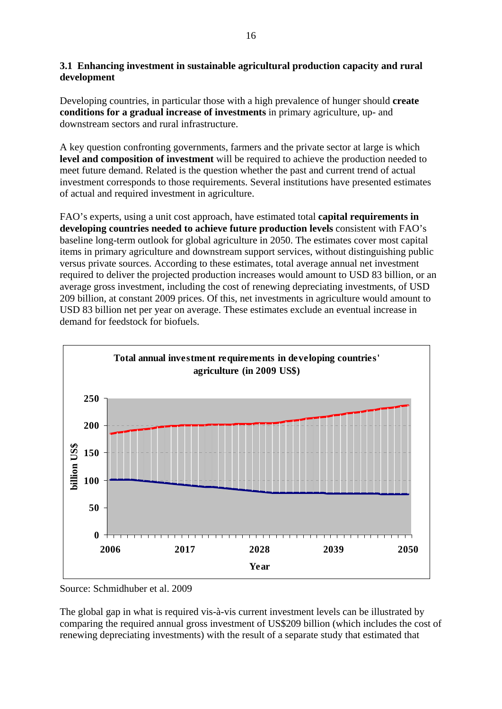## **3.1 Enhancing investment in sustainable agricultural production capacity and rural development**

Developing countries, in particular those with a high prevalence of hunger should **create conditions for a gradual increase of investments** in primary agriculture, up- and downstream sectors and rural infrastructure.

A key question confronting governments, farmers and the private sector at large is which **level and composition of investment** will be required to achieve the production needed to meet future demand. Related is the question whether the past and current trend of actual investment corresponds to those requirements. Several institutions have presented estimates of actual and required investment in agriculture.

FAO's experts, using a unit cost approach, have estimated total **capital requirements in developing countries needed to achieve future production levels** consistent with FAO's baseline long-term outlook for global agriculture in 2050. The estimates cover most capital items in primary agriculture and downstream support services, without distinguishing public versus private sources. According to these estimates, total average annual net investment required to deliver the projected production increases would amount to USD 83 billion, or an average gross investment, including the cost of renewing depreciating investments, of USD 209 billion, at constant 2009 prices. Of this, net investments in agriculture would amount to USD 83 billion net per year on average. These estimates exclude an eventual increase in demand for feedstock for biofuels.



Source: Schmidhuber et al. 2009

The global gap in what is required vis-à-vis current investment levels can be illustrated by comparing the required annual gross investment of US\$209 billion (which includes the cost of renewing depreciating investments) with the result of a separate study that estimated that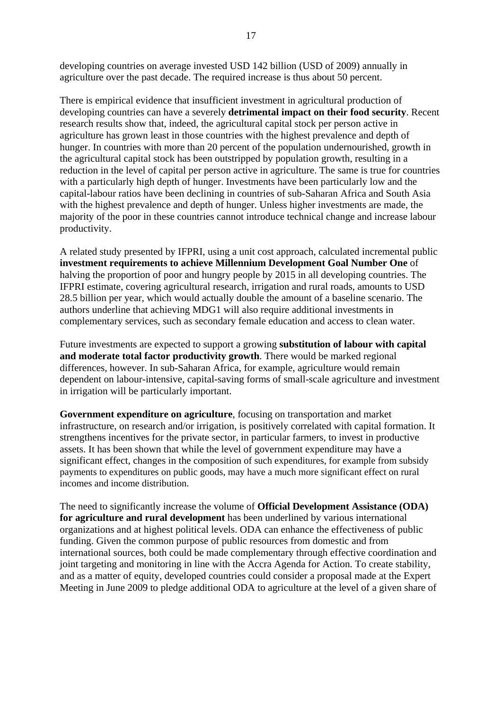developing countries on average invested USD 142 billion (USD of 2009) annually in agriculture over the past decade. The required increase is thus about 50 percent.

There is empirical evidence that insufficient investment in agricultural production of developing countries can have a severely **detrimental impact on their food security**. Recent research results show that, indeed, the agricultural capital stock per person active in agriculture has grown least in those countries with the highest prevalence and depth of hunger. In countries with more than 20 percent of the population undernourished, growth in the agricultural capital stock has been outstripped by population growth, resulting in a reduction in the level of capital per person active in agriculture. The same is true for countries with a particularly high depth of hunger. Investments have been particularly low and the capital-labour ratios have been declining in countries of sub-Saharan Africa and South Asia with the highest prevalence and depth of hunger. Unless higher investments are made, the majority of the poor in these countries cannot introduce technical change and increase labour productivity.

A related study presented by IFPRI, using a unit cost approach, calculated incremental public **investment requirements to achieve Millennium Development Goal Number One** of halving the proportion of poor and hungry people by 2015 in all developing countries. The IFPRI estimate, covering agricultural research, irrigation and rural roads, amounts to USD 28.5 billion per year, which would actually double the amount of a baseline scenario. The authors underline that achieving MDG1 will also require additional investments in complementary services, such as secondary female education and access to clean water.

Future investments are expected to support a growing **substitution of labour with capital and moderate total factor productivity growth**. There would be marked regional differences, however. In sub-Saharan Africa, for example, agriculture would remain dependent on labour-intensive, capital-saving forms of small-scale agriculture and investment in irrigation will be particularly important.

**Government expenditure on agriculture**, focusing on transportation and market infrastructure, on research and/or irrigation, is positively correlated with capital formation. It strengthens incentives for the private sector, in particular farmers, to invest in productive assets. It has been shown that while the level of government expenditure may have a significant effect, changes in the composition of such expenditures, for example from subsidy payments to expenditures on public goods, may have a much more significant effect on rural incomes and income distribution.

The need to significantly increase the volume of **Official Development Assistance (ODA) for agriculture and rural development** has been underlined by various international organizations and at highest political levels. ODA can enhance the effectiveness of public funding. Given the common purpose of public resources from domestic and from international sources, both could be made complementary through effective coordination and joint targeting and monitoring in line with the Accra Agenda for Action. To create stability, and as a matter of equity, developed countries could consider a proposal made at the Expert Meeting in June 2009 to pledge additional ODA to agriculture at the level of a given share of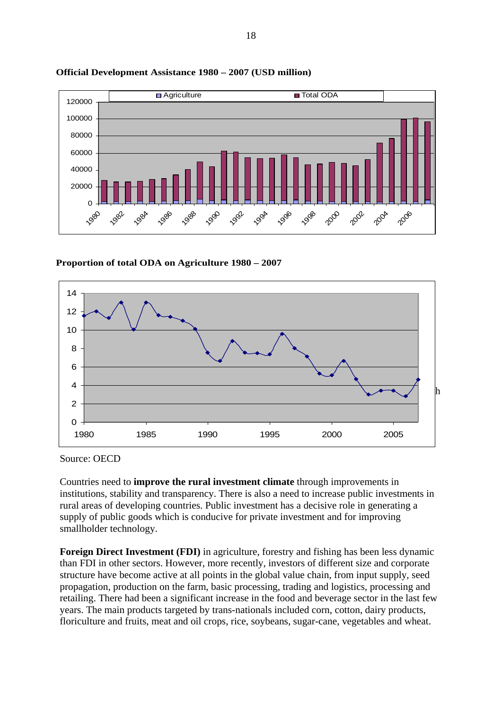

#### **Official Development Assistance 1980 – 2007 (USD million)**

**Proportion of total ODA on Agriculture 1980 – 2007** 



Source: OECD

Countries need to **improve the rural investment climate** through improvements in institutions, stability and transparency. There is also a need to increase public investments in rural areas of developing countries. Public investment has a decisive role in generating a supply of public goods which is conducive for private investment and for improving smallholder technology.

**Foreign Direct Investment (FDI)** in agriculture, forestry and fishing has been less dynamic than FDI in other sectors. However, more recently, investors of different size and corporate structure have become active at all points in the global value chain, from input supply, seed propagation, production on the farm, basic processing, trading and logistics, processing and retailing. There had been a significant increase in the food and beverage sector in the last few years. The main products targeted by trans-nationals included corn, cotton, dairy products, floriculture and fruits, meat and oil crops, rice, soybeans, sugar-cane, vegetables and wheat.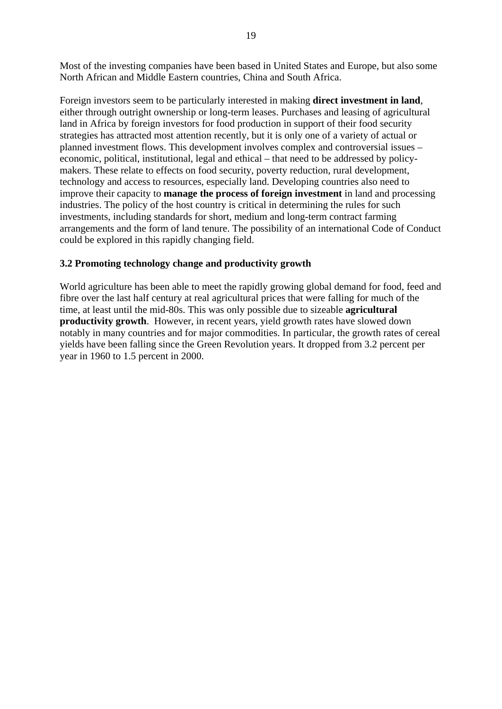Most of the investing companies have been based in United States and Europe, but also some North African and Middle Eastern countries, China and South Africa.

Foreign investors seem to be particularly interested in making **direct investment in land**, either through outright ownership or long-term leases. Purchases and leasing of agricultural land in Africa by foreign investors for food production in support of their food security strategies has attracted most attention recently, but it is only one of a variety of actual or planned investment flows. This development involves complex and controversial issues – economic, political, institutional, legal and ethical – that need to be addressed by policymakers. These relate to effects on food security, poverty reduction, rural development, technology and access to resources, especially land. Developing countries also need to improve their capacity to **manage the process of foreign investment** in land and processing industries. The policy of the host country is critical in determining the rules for such investments, including standards for short, medium and long-term contract farming arrangements and the form of land tenure. The possibility of an international Code of Conduct could be explored in this rapidly changing field.

## **3.2 Promoting technology change and productivity growth**

World agriculture has been able to meet the rapidly growing global demand for food, feed and fibre over the last half century at real agricultural prices that were falling for much of the time, at least until the mid-80s. This was only possible due to sizeable **agricultural productivity growth**. However, in recent years, yield growth rates have slowed down notably in many countries and for major commodities. In particular, the growth rates of cereal yields have been falling since the Green Revolution years. It dropped from 3.2 percent per year in 1960 to 1.5 percent in 2000.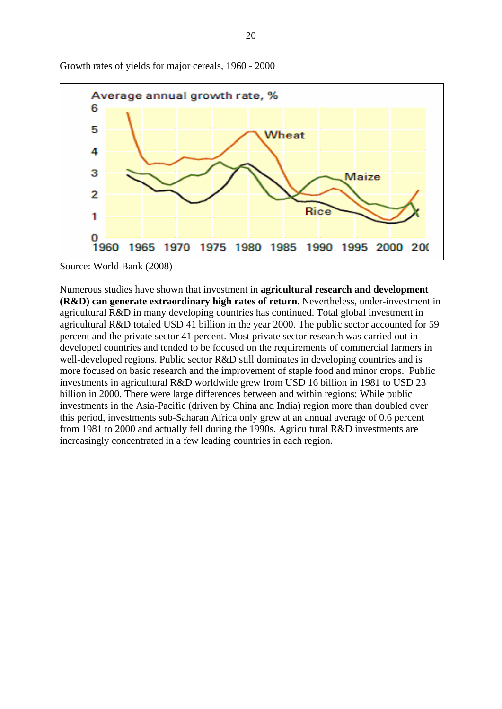

Growth rates of yields for major cereals, 1960 - 2000

Source: World Bank (2008)

Numerous studies have shown that investment in **agricultural research and development (R&D) can generate extraordinary high rates of return**. Nevertheless, under-investment in agricultural R&D in many developing countries has continued. Total global investment in agricultural R&D totaled USD 41 billion in the year 2000. The public sector accounted for 59 percent and the private sector 41 percent. Most private sector research was carried out in developed countries and tended to be focused on the requirements of commercial farmers in well-developed regions. Public sector R&D still dominates in developing countries and is more focused on basic research and the improvement of staple food and minor crops. Public investments in agricultural R&D worldwide grew from USD 16 billion in 1981 to USD 23 billion in 2000. There were large differences between and within regions: While public investments in the Asia-Pacific (driven by China and India) region more than doubled over this period, investments sub-Saharan Africa only grew at an annual average of 0.6 percent from 1981 to 2000 and actually fell during the 1990s. Agricultural R&D investments are increasingly concentrated in a few leading countries in each region.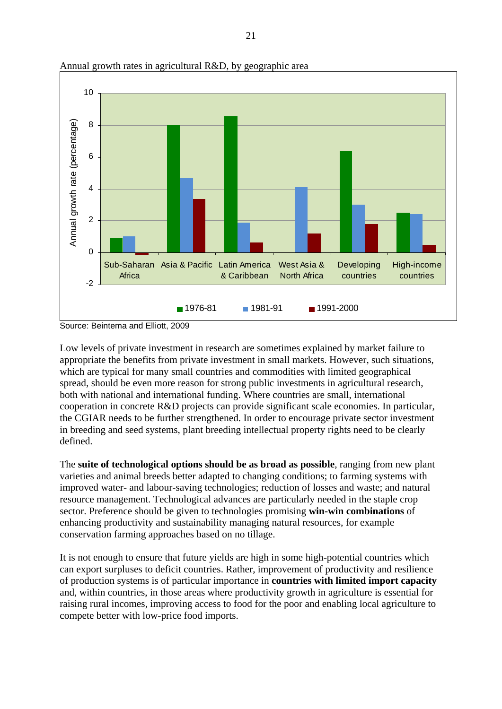

Annual growth rates in agricultural R&D, by geographic area

Low levels of private investment in research are sometimes explained by market failure to appropriate the benefits from private investment in small markets. However, such situations, which are typical for many small countries and commodities with limited geographical spread, should be even more reason for strong public investments in agricultural research, both with national and international funding. Where countries are small, international cooperation in concrete R&D projects can provide significant scale economies. In particular, the CGIAR needs to be further strengthened. In order to encourage private sector investment in breeding and seed systems, plant breeding intellectual property rights need to be clearly defined.

The **suite of technological options should be as broad as possible**, ranging from new plant varieties and animal breeds better adapted to changing conditions; to farming systems with improved water- and labour-saving technologies; reduction of losses and waste; and natural resource management. Technological advances are particularly needed in the staple crop sector. Preference should be given to technologies promising **win-win combinations** of enhancing productivity and sustainability managing natural resources, for example conservation farming approaches based on no tillage.

It is not enough to ensure that future yields are high in some high-potential countries which can export surpluses to deficit countries. Rather, improvement of productivity and resilience of production systems is of particular importance in **countries with limited import capacity** and, within countries, in those areas where productivity growth in agriculture is essential for raising rural incomes, improving access to food for the poor and enabling local agriculture to compete better with low-price food imports.

Source: Beintema and Elliott, 2009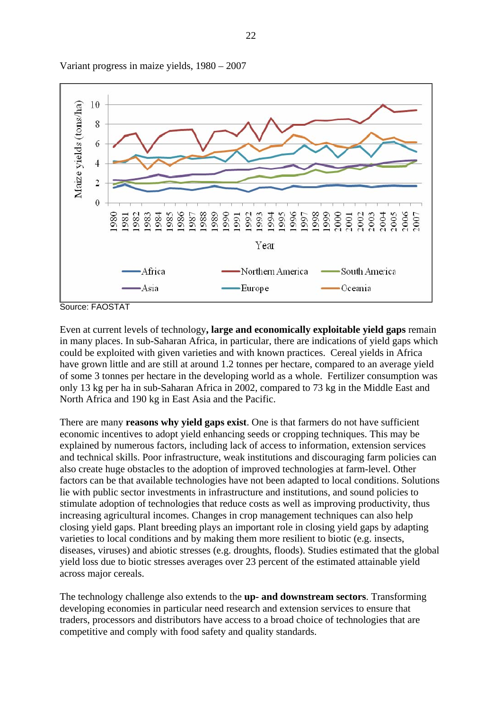

Variant progress in maize yields, 1980 – 2007

Source: FAOSTAT

Even at current levels of technology**, large and economically exploitable yield gaps** remain in many places. In sub-Saharan Africa, in particular, there are indications of yield gaps which could be exploited with given varieties and with known practices. Cereal yields in Africa have grown little and are still at around 1.2 tonnes per hectare, compared to an average yield of some 3 tonnes per hectare in the developing world as a whole. Fertilizer consumption was only 13 kg per ha in sub-Saharan Africa in 2002, compared to 73 kg in the Middle East and North Africa and 190 kg in East Asia and the Pacific.

There are many **reasons why yield gaps exist**. One is that farmers do not have sufficient economic incentives to adopt yield enhancing seeds or cropping techniques. This may be explained by numerous factors, including lack of access to information, extension services and technical skills. Poor infrastructure, weak institutions and discouraging farm policies can also create huge obstacles to the adoption of improved technologies at farm-level. Other factors can be that available technologies have not been adapted to local conditions. Solutions lie with public sector investments in infrastructure and institutions, and sound policies to stimulate adoption of technologies that reduce costs as well as improving productivity, thus increasing agricultural incomes. Changes in crop management techniques can also help closing yield gaps. Plant breeding plays an important role in closing yield gaps by adapting varieties to local conditions and by making them more resilient to biotic (e.g. insects, diseases, viruses) and abiotic stresses (e.g. droughts, floods). Studies estimated that the global yield loss due to biotic stresses averages over 23 percent of the estimated attainable yield across major cereals.

The technology challenge also extends to the **up- and downstream sectors**. Transforming developing economies in particular need research and extension services to ensure that traders, processors and distributors have access to a broad choice of technologies that are competitive and comply with food safety and quality standards.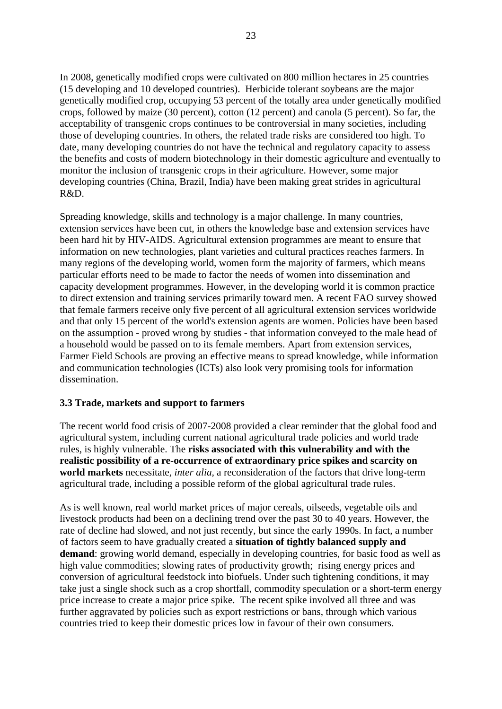In 2008, genetically modified crops were cultivated on 800 million hectares in 25 countries (15 developing and 10 developed countries). Herbicide tolerant soybeans are the major genetically modified crop, occupying 53 percent of the totally area under genetically modified crops, followed by maize (30 percent), cotton (12 percent) and canola (5 percent). So far, the acceptability of transgenic crops continues to be controversial in many societies, including those of developing countries. In others, the related trade risks are considered too high. To date, many developing countries do not have the technical and regulatory capacity to assess the benefits and costs of modern biotechnology in their domestic agriculture and eventually to monitor the inclusion of transgenic crops in their agriculture. However, some major developing countries (China, Brazil, India) have been making great strides in agricultural R&D.

Spreading knowledge, skills and technology is a major challenge. In many countries, extension services have been cut, in others the knowledge base and extension services have been hard hit by HIV-AIDS. Agricultural extension programmes are meant to ensure that information on new technologies, plant varieties and cultural practices reaches farmers. In many regions of the developing world, women form the majority of farmers, which means particular efforts need to be made to factor the needs of women into dissemination and capacity development programmes. However, in the developing world it is common practice to direct extension and training services primarily toward men. A recent FAO survey showed that female farmers receive only five percent of all agricultural extension services worldwide and that only 15 percent of the world's extension agents are women. Policies have been based on the assumption - proved wrong by studies - that information conveyed to the male head of a household would be passed on to its female members. Apart from extension services, Farmer Field Schools are proving an effective means to spread knowledge, while information and communication technologies (ICTs) also look very promising tools for information dissemination.

#### **3.3 Trade, markets and support to farmers**

The recent world food crisis of 2007-2008 provided a clear reminder that the global food and agricultural system, including current national agricultural trade policies and world trade rules, is highly vulnerable. The **risks associated with this vulnerability and with the realistic possibility of a re-occurrence of extraordinary price spikes and scarcity on world markets** necessitate, *inter alia,* a reconsideration of the factors that drive long-term agricultural trade, including a possible reform of the global agricultural trade rules.

As is well known, real world market prices of major cereals, oilseeds, vegetable oils and livestock products had been on a declining trend over the past 30 to 40 years. However, the rate of decline had slowed, and not just recently, but since the early 1990s. In fact, a number of factors seem to have gradually created a **situation of tightly balanced supply and demand**: growing world demand, especially in developing countries, for basic food as well as high value commodities; slowing rates of productivity growth; rising energy prices and conversion of agricultural feedstock into biofuels. Under such tightening conditions, it may take just a single shock such as a crop shortfall, commodity speculation or a short-term energy price increase to create a major price spike. The recent spike involved all three and was further aggravated by policies such as export restrictions or bans, through which various countries tried to keep their domestic prices low in favour of their own consumers.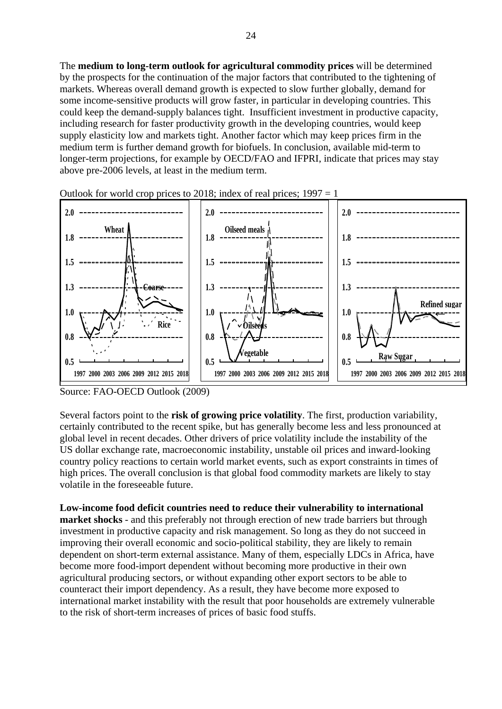The **medium to long-term outlook for agricultural commodity prices** will be determined by the prospects for the continuation of the major factors that contributed to the tightening of markets. Whereas overall demand growth is expected to slow further globally, demand for some income-sensitive products will grow faster, in particular in developing countries. This could keep the demand-supply balances tight. Insufficient investment in productive capacity, including research for faster productivity growth in the developing countries, would keep supply elasticity low and markets tight. Another factor which may keep prices firm in the medium term is further demand growth for biofuels. In conclusion, available mid-term to longer-term projections, for example by OECD/FAO and IFPRI, indicate that prices may stay above pre-2006 levels, at least in the medium term.



Outlook for world crop prices to 2018; index of real prices;  $1997 = 1$ 

Source: FAO-OECD Outlook (2009)

Several factors point to the **risk of growing price volatility**. The first, production variability, certainly contributed to the recent spike, but has generally become less and less pronounced at global level in recent decades. Other drivers of price volatility include the instability of the US dollar exchange rate, macroeconomic instability, unstable oil prices and inward-looking country policy reactions to certain world market events, such as export constraints in times of high prices. The overall conclusion is that global food commodity markets are likely to stay volatile in the foreseeable future.

**Low-income food deficit countries need to reduce their vulnerability to international market shocks** - and this preferably not through erection of new trade barriers but through investment in productive capacity and risk management. So long as they do not succeed in improving their overall economic and socio-political stability, they are likely to remain dependent on short-term external assistance. Many of them, especially LDCs in Africa, have become more food-import dependent without becoming more productive in their own agricultural producing sectors, or without expanding other export sectors to be able to counteract their import dependency. As a result, they have become more exposed to international market instability with the result that poor households are extremely vulnerable to the risk of short-term increases of prices of basic food stuffs.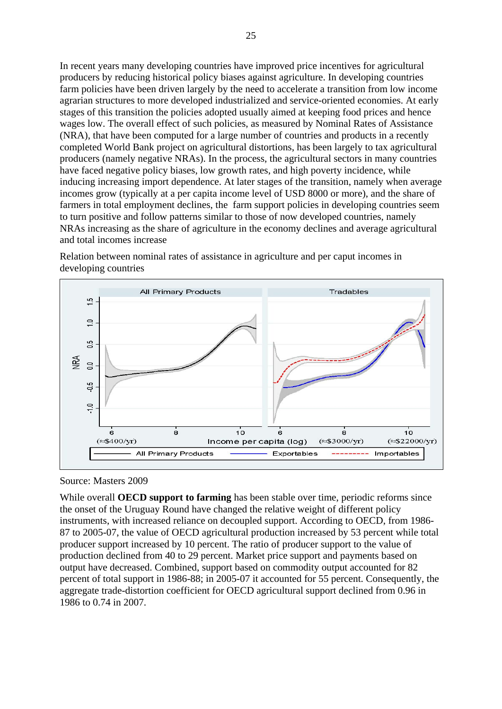In recent years many developing countries have improved price incentives for agricultural producers by reducing historical policy biases against agriculture. In developing countries farm policies have been driven largely by the need to accelerate a transition from low income agrarian structures to more developed industrialized and service-oriented economies. At early stages of this transition the policies adopted usually aimed at keeping food prices and hence wages low. The overall effect of such policies, as measured by Nominal Rates of Assistance (NRA), that have been computed for a large number of countries and products in a recently completed World Bank project on agricultural distortions, has been largely to tax agricultural producers (namely negative NRAs). In the process, the agricultural sectors in many countries have faced negative policy biases, low growth rates, and high poverty incidence, while inducing increasing import dependence. At later stages of the transition, namely when average incomes grow (typically at a per capita income level of USD 8000 or more), and the share of farmers in total employment declines, the farm support policies in developing countries seem to turn positive and follow patterns similar to those of now developed countries, namely NRAs increasing as the share of agriculture in the economy declines and average agricultural and total incomes increase



Relation between nominal rates of assistance in agriculture and per caput incomes in developing countries

#### Source: Masters 2009

While overall **OECD support to farming** has been stable over time, periodic reforms since the onset of the Uruguay Round have changed the relative weight of different policy instruments, with increased reliance on decoupled support. According to OECD, from 1986- 87 to 2005-07, the value of OECD agricultural production increased by 53 percent while total producer support increased by 10 percent. The ratio of producer support to the value of production declined from 40 to 29 percent. Market price support and payments based on output have decreased. Combined, support based on commodity output accounted for 82 percent of total support in 1986-88; in 2005-07 it accounted for 55 percent. Consequently, the aggregate trade-distortion coefficient for OECD agricultural support declined from 0.96 in 1986 to 0.74 in 2007.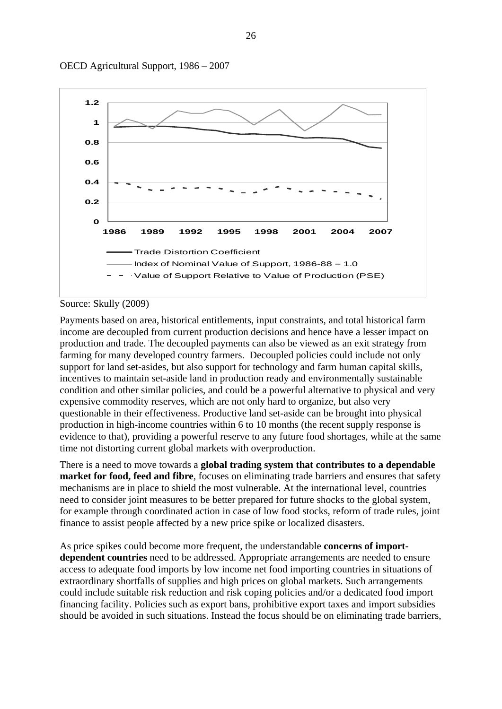

OECD Agricultural Support, 1986 – 2007

Source: Skully (2009)

Payments based on area, historical entitlements, input constraints, and total historical farm income are decoupled from current production decisions and hence have a lesser impact on production and trade. The decoupled payments can also be viewed as an exit strategy from farming for many developed country farmers. Decoupled policies could include not only support for land set-asides, but also support for technology and farm human capital skills, incentives to maintain set-aside land in production ready and environmentally sustainable condition and other similar policies, and could be a powerful alternative to physical and very expensive commodity reserves, which are not only hard to organize, but also very questionable in their effectiveness. Productive land set-aside can be brought into physical production in high-income countries within 6 to 10 months (the recent supply response is evidence to that), providing a powerful reserve to any future food shortages, while at the same time not distorting current global markets with overproduction.

There is a need to move towards a **global trading system that contributes to a dependable market for food, feed and fibre**, focuses on eliminating trade barriers and ensures that safety mechanisms are in place to shield the most vulnerable. At the international level, countries need to consider joint measures to be better prepared for future shocks to the global system, for example through coordinated action in case of low food stocks, reform of trade rules, joint finance to assist people affected by a new price spike or localized disasters.

As price spikes could become more frequent, the understandable **concerns of importdependent countries** need to be addressed. Appropriate arrangements are needed to ensure access to adequate food imports by low income net food importing countries in situations of extraordinary shortfalls of supplies and high prices on global markets. Such arrangements could include suitable risk reduction and risk coping policies and/or a dedicated food import financing facility. Policies such as export bans, prohibitive export taxes and import subsidies should be avoided in such situations. Instead the focus should be on eliminating trade barriers,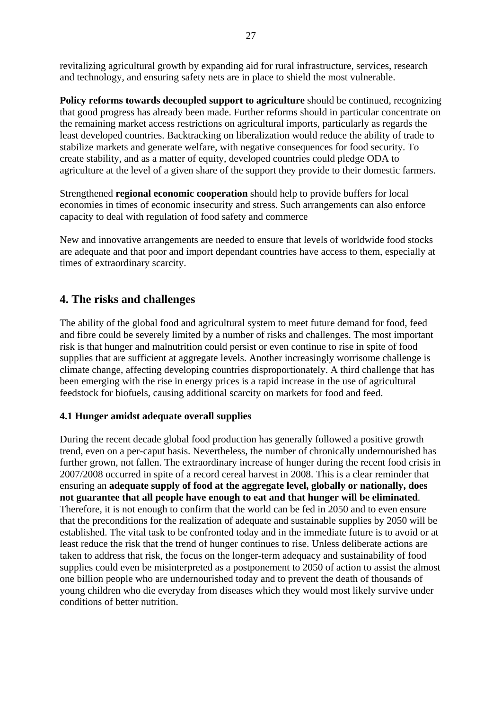revitalizing agricultural growth by expanding aid for rural infrastructure, services, research and technology, and ensuring safety nets are in place to shield the most vulnerable.

**Policy reforms towards decoupled support to agriculture** should be continued, recognizing that good progress has already been made. Further reforms should in particular concentrate on the remaining market access restrictions on agricultural imports, particularly as regards the least developed countries. Backtracking on liberalization would reduce the ability of trade to stabilize markets and generate welfare, with negative consequences for food security. To create stability, and as a matter of equity, developed countries could pledge ODA to agriculture at the level of a given share of the support they provide to their domestic farmers.

Strengthened **regional economic cooperation** should help to provide buffers for local economies in times of economic insecurity and stress. Such arrangements can also enforce capacity to deal with regulation of food safety and commerce

New and innovative arrangements are needed to ensure that levels of worldwide food stocks are adequate and that poor and import dependant countries have access to them, especially at times of extraordinary scarcity.

## **4. The risks and challenges**

The ability of the global food and agricultural system to meet future demand for food, feed and fibre could be severely limited by a number of risks and challenges. The most important risk is that hunger and malnutrition could persist or even continue to rise in spite of food supplies that are sufficient at aggregate levels. Another increasingly worrisome challenge is climate change, affecting developing countries disproportionately. A third challenge that has been emerging with the rise in energy prices is a rapid increase in the use of agricultural feedstock for biofuels, causing additional scarcity on markets for food and feed.

## **4.1 Hunger amidst adequate overall supplies**

During the recent decade global food production has generally followed a positive growth trend, even on a per-caput basis. Nevertheless, the number of chronically undernourished has further grown, not fallen. The extraordinary increase of hunger during the recent food crisis in 2007/2008 occurred in spite of a record cereal harvest in 2008. This is a clear reminder that ensuring an **adequate supply of food at the aggregate level, globally or nationally, does not guarantee that all people have enough to eat and that hunger will be eliminated**. Therefore, it is not enough to confirm that the world can be fed in 2050 and to even ensure that the preconditions for the realization of adequate and sustainable supplies by 2050 will be established. The vital task to be confronted today and in the immediate future is to avoid or at least reduce the risk that the trend of hunger continues to rise. Unless deliberate actions are taken to address that risk, the focus on the longer-term adequacy and sustainability of food supplies could even be misinterpreted as a postponement to 2050 of action to assist the almost one billion people who are undernourished today and to prevent the death of thousands of young children who die everyday from diseases which they would most likely survive under conditions of better nutrition.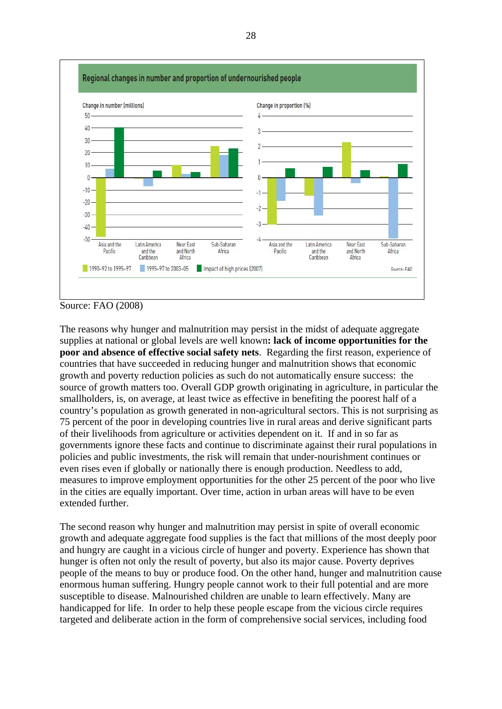

Source: FAO (2008)

The reasons why hunger and malnutrition may persist in the midst of adequate aggregate supplies at national or global levels are well known**: lack of income opportunities for the poor and absence of effective social safety nets**. Regarding the first reason, experience of countries that have succeeded in reducing hunger and malnutrition shows that economic growth and poverty reduction policies as such do not automatically ensure success: the source of growth matters too. Overall GDP growth originating in agriculture, in particular the smallholders, is, on average, at least twice as effective in benefiting the poorest half of a country's population as growth generated in non-agricultural sectors. This is not surprising as 75 percent of the poor in developing countries live in rural areas and derive significant parts of their livelihoods from agriculture or activities dependent on it. If and in so far as governments ignore these facts and continue to discriminate against their rural populations in policies and public investments, the risk will remain that under-nourishment continues or even rises even if globally or nationally there is enough production. Needless to add, measures to improve employment opportunities for the other 25 percent of the poor who live in the cities are equally important. Over time, action in urban areas will have to be even extended further.

The second reason why hunger and malnutrition may persist in spite of overall economic growth and adequate aggregate food supplies is the fact that millions of the most deeply poor and hungry are caught in a vicious circle of hunger and poverty. Experience has shown that hunger is often not only the result of poverty, but also its major cause. Poverty deprives people of the means to buy or produce food. On the other hand, hunger and malnutrition cause enormous human suffering. Hungry people cannot work to their full potential and are more susceptible to disease. Malnourished children are unable to learn effectively. Many are handicapped for life. In order to help these people escape from the vicious circle requires targeted and deliberate action in the form of comprehensive social services, including food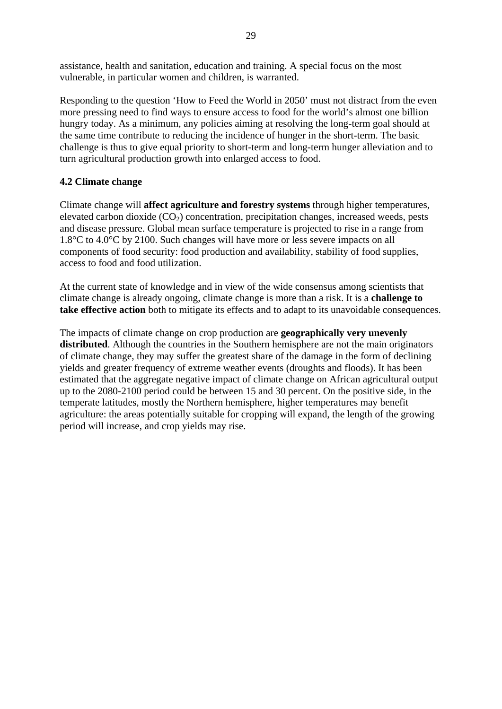assistance, health and sanitation, education and training. A special focus on the most vulnerable, in particular women and children, is warranted.

Responding to the question 'How to Feed the World in 2050' must not distract from the even more pressing need to find ways to ensure access to food for the world's almost one billion hungry today. As a minimum, any policies aiming at resolving the long-term goal should at the same time contribute to reducing the incidence of hunger in the short-term. The basic challenge is thus to give equal priority to short-term and long-term hunger alleviation and to turn agricultural production growth into enlarged access to food.

## **4.2 Climate change**

Climate change will **affect agriculture and forestry systems** through higher temperatures, elevated carbon dioxide  $(CO<sub>2</sub>)$  concentration, precipitation changes, increased weeds, pests and disease pressure. Global mean surface temperature is projected to rise in a range from 1.8°C to 4.0°C by 2100. Such changes will have more or less severe impacts on all components of food security: food production and availability, stability of food supplies, access to food and food utilization.

At the current state of knowledge and in view of the wide consensus among scientists that climate change is already ongoing, climate change is more than a risk. It is a **challenge to take effective action** both to mitigate its effects and to adapt to its unavoidable consequences.

The impacts of climate change on crop production are **geographically very unevenly**  distributed. Although the countries in the Southern hemisphere are not the main originators of climate change, they may suffer the greatest share of the damage in the form of declining yields and greater frequency of extreme weather events (droughts and floods). It has been estimated that the aggregate negative impact of climate change on African agricultural output up to the 2080-2100 period could be between 15 and 30 percent. On the positive side, in the temperate latitudes, mostly the Northern hemisphere, higher temperatures may benefit agriculture: the areas potentially suitable for cropping will expand, the length of the growing period will increase, and crop yields may rise.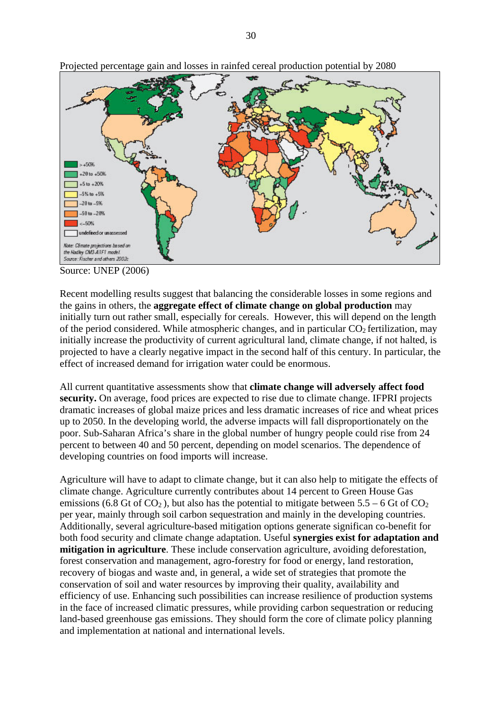

Projected percentage gain and losses in rainfed cereal production potential by 2080

Source: UNEP (2006)

Recent modelling results suggest that balancing the considerable losses in some regions and the gains in others, the **aggregate effect of climate change on global production** may initially turn out rather small, especially for cereals. However, this will depend on the length of the period considered. While atmospheric changes, and in particular  $CO<sub>2</sub>$  fertilization, may initially increase the productivity of current agricultural land, climate change, if not halted, is projected to have a clearly negative impact in the second half of this century. In particular, the effect of increased demand for irrigation water could be enormous.

All current quantitative assessments show that **climate change will adversely affect food security.** On average, food prices are expected to rise due to climate change. IFPRI projects dramatic increases of global maize prices and less dramatic increases of rice and wheat prices up to 2050. In the developing world, the adverse impacts will fall disproportionately on the poor. Sub-Saharan Africa's share in the global number of hungry people could rise from 24 percent to between 40 and 50 percent, depending on model scenarios. The dependence of developing countries on food imports will increase.

Agriculture will have to adapt to climate change, but it can also help to mitigate the effects of climate change. Agriculture currently contributes about 14 percent to Green House Gas emissions (6.8 Gt of CO<sub>2</sub>), but also has the potential to mitigate between  $5.5 - 6$  Gt of CO<sub>2</sub> per year, mainly through soil carbon sequestration and mainly in the developing countries. Additionally, several agriculture-based mitigation options generate significan co-benefit for both food security and climate change adaptation. Useful **synergies exist for adaptation and mitigation in agriculture**. These include conservation agriculture, avoiding deforestation, forest conservation and management, agro-forestry for food or energy, land restoration, recovery of biogas and waste and, in general, a wide set of strategies that promote the conservation of soil and water resources by improving their quality, availability and efficiency of use. Enhancing such possibilities can increase resilience of production systems in the face of increased climatic pressures, while providing carbon sequestration or reducing land-based greenhouse gas emissions. They should form the core of climate policy planning and implementation at national and international levels.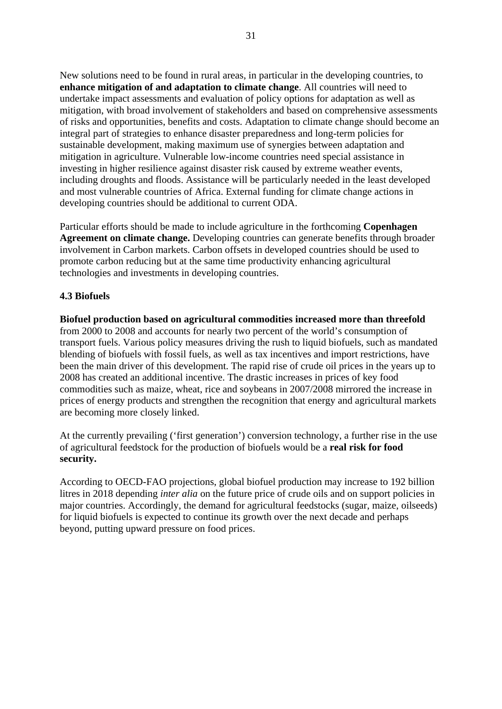New solutions need to be found in rural areas, in particular in the developing countries, to **enhance mitigation of and adaptation to climate change**. All countries will need to undertake impact assessments and evaluation of policy options for adaptation as well as mitigation, with broad involvement of stakeholders and based on comprehensive assessments of risks and opportunities, benefits and costs. Adaptation to climate change should become an integral part of strategies to enhance disaster preparedness and long-term policies for sustainable development, making maximum use of synergies between adaptation and mitigation in agriculture. Vulnerable low-income countries need special assistance in investing in higher resilience against disaster risk caused by extreme weather events, including droughts and floods. Assistance will be particularly needed in the least developed and most vulnerable countries of Africa. External funding for climate change actions in developing countries should be additional to current ODA.

Particular efforts should be made to include agriculture in the forthcoming **Copenhagen Agreement on climate change.** Developing countries can generate benefits through broader involvement in Carbon markets. Carbon offsets in developed countries should be used to promote carbon reducing but at the same time productivity enhancing agricultural technologies and investments in developing countries.

#### **4.3 Biofuels**

**Biofuel production based on agricultural commodities increased more than threefold** from 2000 to 2008 and accounts for nearly two percent of the world's consumption of transport fuels. Various policy measures driving the rush to liquid biofuels, such as mandated blending of biofuels with fossil fuels, as well as tax incentives and import restrictions, have been the main driver of this development. The rapid rise of crude oil prices in the years up to 2008 has created an additional incentive. The drastic increases in prices of key food commodities such as maize, wheat, rice and soybeans in 2007/2008 mirrored the increase in prices of energy products and strengthen the recognition that energy and agricultural markets are becoming more closely linked.

At the currently prevailing ('first generation') conversion technology, a further rise in the use of agricultural feedstock for the production of biofuels would be a **real risk for food security.** 

According to OECD-FAO projections, global biofuel production may increase to 192 billion litres in 2018 depending *inter alia* on the future price of crude oils and on support policies in major countries. Accordingly, the demand for agricultural feedstocks (sugar, maize, oilseeds) for liquid biofuels is expected to continue its growth over the next decade and perhaps beyond, putting upward pressure on food prices.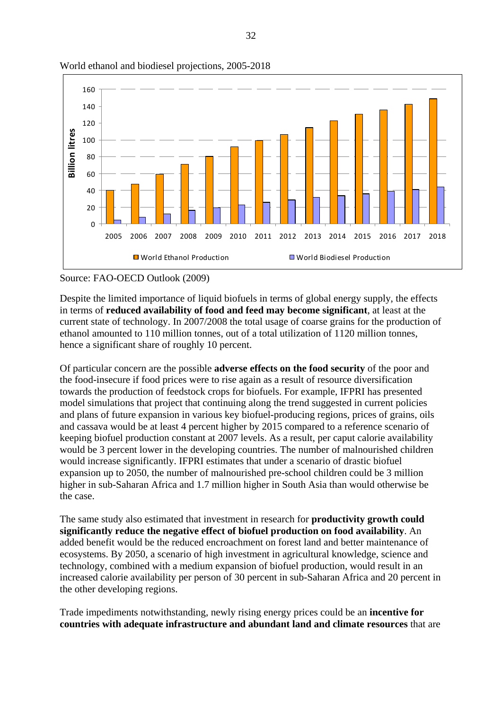

World ethanol and biodiesel projections, 2005-2018

### Source: FAO-OECD Outlook (2009)

Despite the limited importance of liquid biofuels in terms of global energy supply, the effects in terms of **reduced availability of food and feed may become significant**, at least at the current state of technology. In 2007/2008 the total usage of coarse grains for the production of ethanol amounted to 110 million tonnes, out of a total utilization of 1120 million tonnes, hence a significant share of roughly 10 percent.

Of particular concern are the possible **adverse effects on the food security** of the poor and the food-insecure if food prices were to rise again as a result of resource diversification towards the production of feedstock crops for biofuels. For example, IFPRI has presented model simulations that project that continuing along the trend suggested in current policies and plans of future expansion in various key biofuel-producing regions, prices of grains, oils and cassava would be at least 4 percent higher by 2015 compared to a reference scenario of keeping biofuel production constant at 2007 levels. As a result, per caput calorie availability would be 3 percent lower in the developing countries. The number of malnourished children would increase significantly. IFPRI estimates that under a scenario of drastic biofuel expansion up to 2050, the number of malnourished pre-school children could be 3 million higher in sub-Saharan Africa and 1.7 million higher in South Asia than would otherwise be the case.

The same study also estimated that investment in research for **productivity growth could significantly reduce the negative effect of biofuel production on food availability**. An added benefit would be the reduced encroachment on forest land and better maintenance of ecosystems. By 2050, a scenario of high investment in agricultural knowledge, science and technology, combined with a medium expansion of biofuel production, would result in an increased calorie availability per person of 30 percent in sub-Saharan Africa and 20 percent in the other developing regions.

Trade impediments notwithstanding, newly rising energy prices could be an **incentive for countries with adequate infrastructure and abundant land and climate resources** that are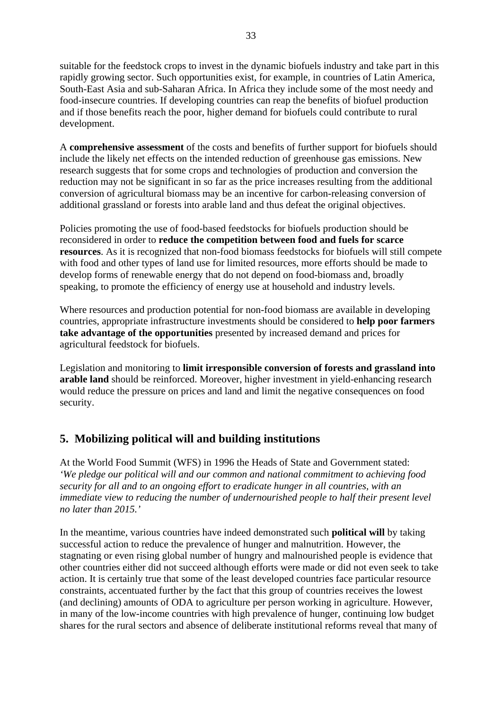suitable for the feedstock crops to invest in the dynamic biofuels industry and take part in this rapidly growing sector. Such opportunities exist, for example, in countries of Latin America, South-East Asia and sub-Saharan Africa. In Africa they include some of the most needy and food-insecure countries. If developing countries can reap the benefits of biofuel production and if those benefits reach the poor, higher demand for biofuels could contribute to rural development.

A **comprehensive assessment** of the costs and benefits of further support for biofuels should include the likely net effects on the intended reduction of greenhouse gas emissions. New research suggests that for some crops and technologies of production and conversion the reduction may not be significant in so far as the price increases resulting from the additional conversion of agricultural biomass may be an incentive for carbon-releasing conversion of additional grassland or forests into arable land and thus defeat the original objectives.

Policies promoting the use of food-based feedstocks for biofuels production should be reconsidered in order to **reduce the competition between food and fuels for scarce resources**. As it is recognized that non-food biomass feedstocks for biofuels will still compete with food and other types of land use for limited resources, more efforts should be made to develop forms of renewable energy that do not depend on food-biomass and, broadly speaking, to promote the efficiency of energy use at household and industry levels.

Where resources and production potential for non-food biomass are available in developing countries, appropriate infrastructure investments should be considered to **help poor farmers take advantage of the opportunities** presented by increased demand and prices for agricultural feedstock for biofuels.

Legislation and monitoring to **limit irresponsible conversion of forests and grassland into arable land** should be reinforced. Moreover, higher investment in yield-enhancing research would reduce the pressure on prices and land and limit the negative consequences on food security.

## **5. Mobilizing political will and building institutions**

At the World Food Summit (WFS) in 1996 the Heads of State and Government stated: *'We pledge our political will and our common and national commitment to achieving food security for all and to an ongoing effort to eradicate hunger in all countries, with an immediate view to reducing the number of undernourished people to half their present level no later than 2015.'* 

In the meantime, various countries have indeed demonstrated such **political will** by taking successful action to reduce the prevalence of hunger and malnutrition. However, the stagnating or even rising global number of hungry and malnourished people is evidence that other countries either did not succeed although efforts were made or did not even seek to take action. It is certainly true that some of the least developed countries face particular resource constraints, accentuated further by the fact that this group of countries receives the lowest (and declining) amounts of ODA to agriculture per person working in agriculture. However, in many of the low-income countries with high prevalence of hunger, continuing low budget shares for the rural sectors and absence of deliberate institutional reforms reveal that many of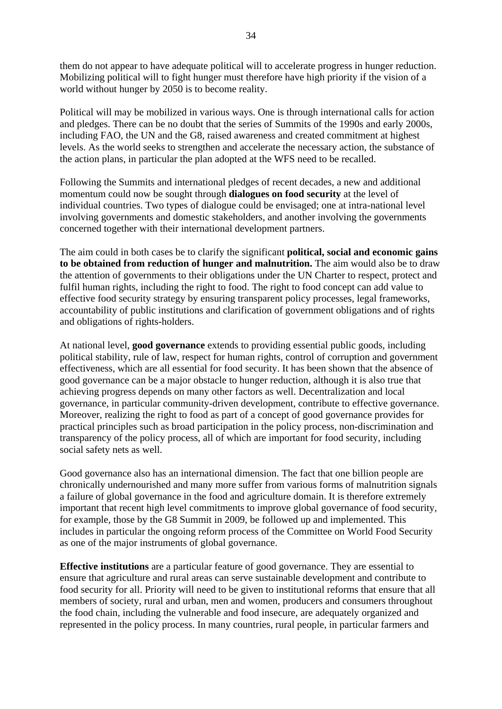them do not appear to have adequate political will to accelerate progress in hunger reduction. Mobilizing political will to fight hunger must therefore have high priority if the vision of a world without hunger by 2050 is to become reality.

Political will may be mobilized in various ways. One is through international calls for action and pledges. There can be no doubt that the series of Summits of the 1990s and early 2000s, including FAO, the UN and the G8, raised awareness and created commitment at highest levels. As the world seeks to strengthen and accelerate the necessary action, the substance of the action plans, in particular the plan adopted at the WFS need to be recalled.

Following the Summits and international pledges of recent decades, a new and additional momentum could now be sought through **dialogues on food security** at the level of individual countries. Two types of dialogue could be envisaged; one at intra-national level involving governments and domestic stakeholders, and another involving the governments concerned together with their international development partners.

The aim could in both cases be to clarify the significant **political, social and economic gains to be obtained from reduction of hunger and malnutrition.** The aim would also be to draw the attention of governments to their obligations under the UN Charter to respect, protect and fulfil human rights, including the right to food. The right to food concept can add value to effective food security strategy by ensuring transparent policy processes, legal frameworks, accountability of public institutions and clarification of government obligations and of rights and obligations of rights-holders.

At national level, **good governance** extends to providing essential public goods, including political stability, rule of law, respect for human rights, control of corruption and government effectiveness, which are all essential for food security. It has been shown that the absence of good governance can be a major obstacle to hunger reduction, although it is also true that achieving progress depends on many other factors as well. Decentralization and local governance, in particular community-driven development, contribute to effective governance. Moreover, realizing the right to food as part of a concept of good governance provides for practical principles such as broad participation in the policy process, non-discrimination and transparency of the policy process, all of which are important for food security, including social safety nets as well.

Good governance also has an international dimension. The fact that one billion people are chronically undernourished and many more suffer from various forms of malnutrition signals a failure of global governance in the food and agriculture domain. It is therefore extremely important that recent high level commitments to improve global governance of food security, for example, those by the G8 Summit in 2009, be followed up and implemented. This includes in particular the ongoing reform process of the Committee on World Food Security as one of the major instruments of global governance.

**Effective institutions** are a particular feature of good governance. They are essential to ensure that agriculture and rural areas can serve sustainable development and contribute to food security for all. Priority will need to be given to institutional reforms that ensure that all members of society, rural and urban, men and women, producers and consumers throughout the food chain, including the vulnerable and food insecure, are adequately organized and represented in the policy process. In many countries, rural people, in particular farmers and